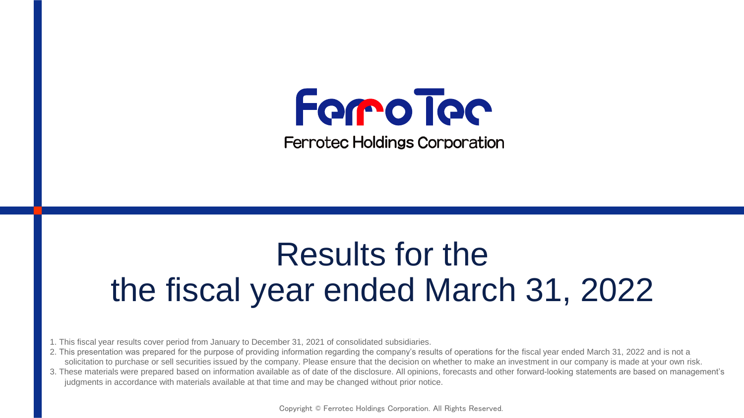

**Ferrotec Holdings Corporation** 

# Results for the the fiscal year ended March 31, 2022

- 1. This fiscal year results cover period from January to December 31, 2021 of consolidated subsidiaries.
- 2. This presentation was prepared for the purpose of providing information regarding the company's results of operations for the fiscal year ended March 31, 2022 and is not a solicitation to purchase or sell securities issued by the company. Please ensure that the decision on whether to make an investment in our company is made at your own risk.
- 3. These materials were prepared based on information available as of date of the disclosure. All opinions, forecasts and other forward-looking statements are based on management's judgments in accordance with materials available at that time and may be changed without prior notice.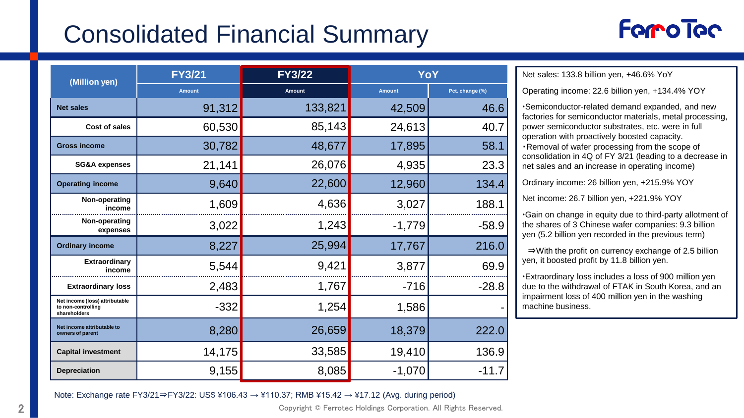# Consolidated Financial Summary

## **Forro Toc**

| (Million yen)                                                        | <b>FY3/21</b> | <b>FY3/22</b> | YoY           |                 |  |
|----------------------------------------------------------------------|---------------|---------------|---------------|-----------------|--|
|                                                                      | <b>Amount</b> | <b>Amount</b> | <b>Amount</b> | Pct. change (%) |  |
| <b>Net sales</b>                                                     | 91,312        | 133,821       | 42,509        | 46.6            |  |
| Cost of sales                                                        | 60,530        | 85,143        | 24,613        | 40.7            |  |
| <b>Gross income</b>                                                  | 30,782        | 48,677        | 17,895        | 58.1            |  |
| <b>SG&amp;A</b> expenses                                             | 21,141        | 26,076        | 4,935         | 23.3            |  |
| <b>Operating income</b>                                              | 9,640         | 22,600        | 12,960        | 134.4           |  |
| Non-operating<br>income                                              | 1,609         | 4,636         | 3,027         | 188.1           |  |
| Non-operating<br>expenses                                            | 3,022         | 1,243         | $-1,779$      | $-58.9$         |  |
| <b>Ordinary income</b>                                               | 8,227         | 25,994        | 17,767        | 216.0           |  |
| Extraordinary<br>income                                              | 5,544         | 9,421         | 3,877         | 69.9            |  |
| <b>Extraordinary loss</b>                                            | 2,483         | 1,767         | $-716$        | $-28.8$         |  |
| Net income (loss) attributable<br>to non-controlling<br>shareholders | $-332$        | 1,254         | 1,586         |                 |  |
| Net income attributable to<br>owners of parent                       | 8,280         | 26,659        | 18,379        | 222.0           |  |
| <b>Capital investment</b>                                            | 14,175        | 33,585        | 19,410        | 136.9           |  |
| <b>Depreciation</b>                                                  | 9,155         | 8,085         | $-1,070$      | -11.7           |  |

Net sales: 133.8 billion yen, +46.6% YoY

Operating income: 22.6 billion yen, +134.4% YOY

Semiconductor-related demand expanded, and new factories for semiconductor materials, metal processing, power semiconductor substrates, etc. were in full operation with proactively boosted capacity. ・Removal of wafer processing from the scope of consolidation in 4Q of FY 3/21 (leading to a decrease in net sales and an increase in operating income)

Ordinary income: 26 billion yen, +215.9% YOY

Net income: 26.7 billion yen, +221.9% YOY

Gain on change in equity due to third-party allotment of the shares of 3 Chinese wafer companies: 9.3 billion yen (5.2 billion yen recorded in the previous term)

⇒With the profit on currency exchange of 2.5 billion yen, it boosted profit by 11.8 billion yen.

Extraordinary loss includes a loss of 900 million yen due to the withdrawal of FTAK in South Korea, and an impairment loss of 400 million yen in the washing machine business.

Note: Exchange rate FY3/21⇒FY3/22: US\$ ¥106.43 → ¥110.37; RMB ¥15.42 → ¥17.12 (Avg. during period)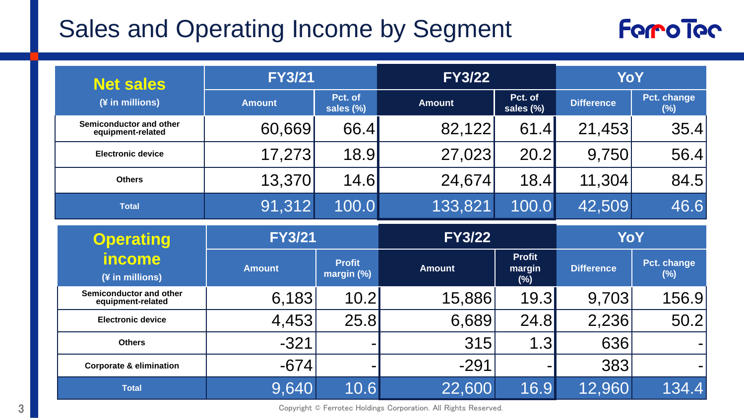# Sales and Operating Income by Segment



| <b>Net sales</b>                             | <b>FY3/21</b> |                             | <b>FY3/22</b> |                                | YoY               |                       |  |
|----------------------------------------------|---------------|-----------------------------|---------------|--------------------------------|-------------------|-----------------------|--|
| (¥ in millions)                              | <b>Amount</b> | Pct. of<br>sales (%)        | <b>Amount</b> | Pct. of<br>sales (%)           | <b>Difference</b> | Pct. change<br>$(\%)$ |  |
| Semiconductor and other<br>equipment-related | 60,669        | 66.4                        | 82,122        | 61.4                           | 21,453            | 35.4                  |  |
| <b>Electronic device</b>                     | 17,273        | 18.9                        | 27,023        | 20.2                           | 9,750             | 56.4                  |  |
| <b>Others</b>                                | 13,370        | 14.6                        | 24,674        | 18.4                           | 11,304            | 84.5                  |  |
| <b>Total</b>                                 | 91,312        | 100.0                       | 133,821       | 100.0                          | 42,509            | 46.6                  |  |
| <b>Operating</b>                             | <b>FY3/21</b> |                             | <b>FY3/22</b> |                                | YoY               |                       |  |
| <b>income</b><br>(¥ in millions)             | <b>Amount</b> | <b>Profit</b><br>margin (%) | <b>Amount</b> | <b>Profit</b><br>margin<br>(%) | <b>Difference</b> | Pct. change<br>$(\%)$ |  |
| Semiconductor and other                      |               |                             |               |                                |                   |                       |  |
| equipment-related                            | 6,183         | 10.2                        | 15,886        | 19.3                           | 9,703             | 156.9                 |  |
| <b>Electronic device</b>                     | 4,453         | 25.8                        | 6,689         | 24.8                           | 2,236             | 50.2                  |  |
| <b>Others</b>                                | $-321$        |                             | 315           | 1.3                            | 636               |                       |  |
| <b>Corporate &amp; elimination</b>           | $-674$        |                             | $-291$        |                                | 383               |                       |  |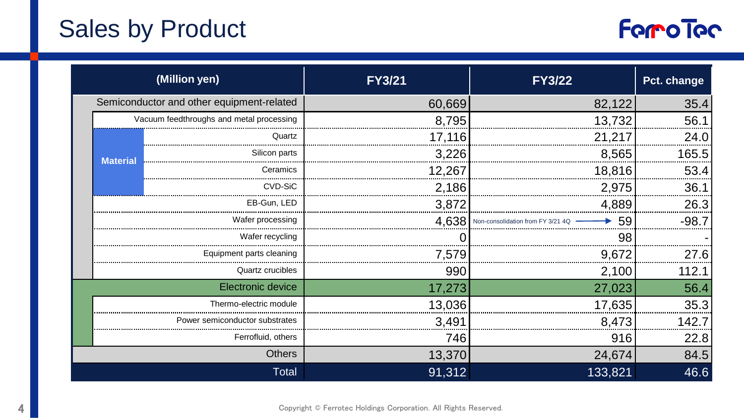# Sales by Product



|                                           | (Million yen)                  | <b>FY3/21</b> | <b>FY3/22</b>                 | Pct. change |
|-------------------------------------------|--------------------------------|---------------|-------------------------------|-------------|
| Semiconductor and other equipment-related |                                | 60,669        | 82,122                        | 35.4        |
| Vacuum feedthroughs and metal processing  |                                | 8,795         | 13,732                        | 56.1        |
|                                           | Quartz                         | 17,116        | 21,217                        | 24.0        |
| <b>Material</b>                           | Silicon parts                  | 3,226         | 8,565                         | 165.5       |
|                                           | Ceramics                       | 12,267        | 18,816                        | 53.4        |
|                                           | CVD-SiC                        | 2,186         | 2,975                         | 36.1        |
| EB-Gun. LED                               |                                | 3,872         | 4,889                         | 26.3        |
| Wafer processing                          |                                | 4,638         | $\rightarrow$ 59<br>Non-conso | $-98.7$     |
| Wafer recycling                           |                                |               | 98                            |             |
| Equipment parts cleaning                  |                                | 7,579         | 9,672                         | 27.6        |
| Quartz crucibles                          |                                | 990           | 2,100                         | 112.1       |
|                                           | Electronic device              | 17,273        | 27,023                        | 56.4        |
|                                           | Thermo-electric module         | 13,036        | 17,635                        | 35.3        |
|                                           | Power semiconductor substrates | 3,491         | 8,473                         | 142.7       |
|                                           | Ferrofluid, others             | 746           | 916                           | 22.8        |
|                                           | <b>Others</b>                  | 13,370        | 24,674                        | 84.5        |
|                                           | Total                          | 91,312        | 133,821                       | 46.6        |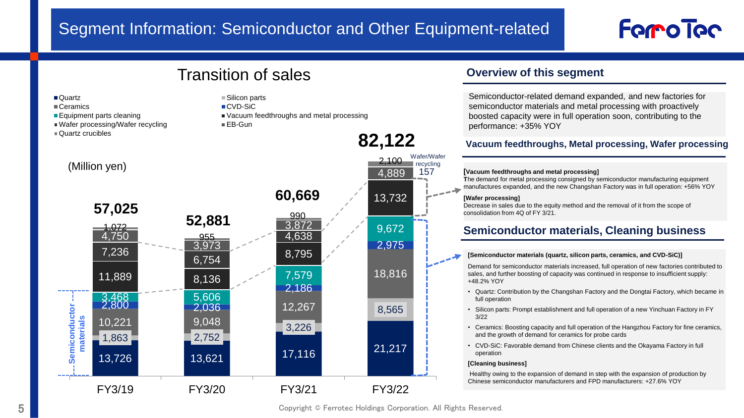#### Segment Information: Semiconductor and Other Equipment-related

## Forro Toc

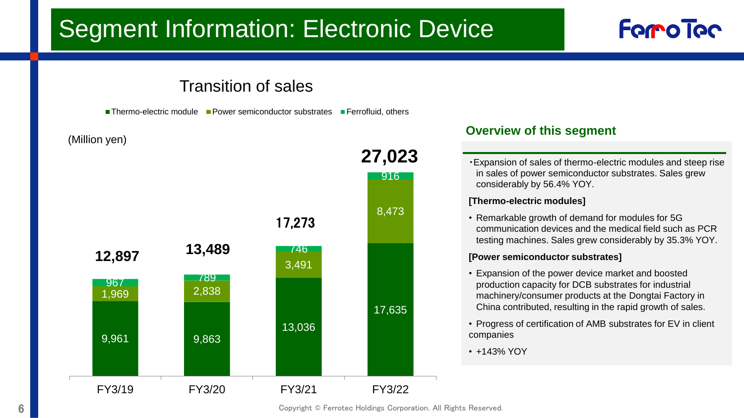# Segment Information: Electronic Device

#### **Forco Toc**

#### Transition of sales

**Thermo-electric module** Power semiconductor substrates **Ferrofluid, others** 

(Million yen)



#### **Overview of this segment**

・Expansion of sales of thermo-electric modules and steep rise in sales of power semiconductor substrates. Sales grew considerably by 56.4% YOY.

#### **[Thermo-electric modules]**

• Remarkable growth of demand for modules for 5G communication devices and the medical field such as PCR testing machines. Sales grew considerably by 35.3% YOY.

#### **[Power semiconductor substrates]**

- Expansion of the power device market and boosted production capacity for DCB substrates for industrial machinery/consumer products at the Dongtai Factory in China contributed, resulting in the rapid growth of sales.
- Progress of certification of AMB substrates for EV in client companies
- +143% YOY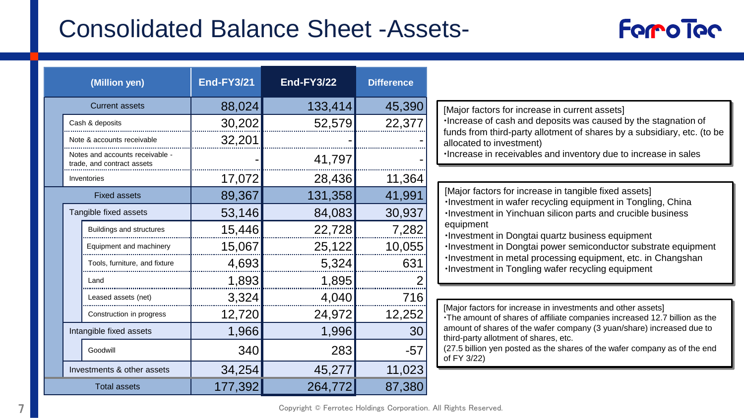#### Consolidated Balance Sheet -Assets-



| (Million yen)                                               | <b>End-FY3/21</b> | <b>End-FY3/22</b> | <b>Difference</b> |                                                                                                                                            |
|-------------------------------------------------------------|-------------------|-------------------|-------------------|--------------------------------------------------------------------------------------------------------------------------------------------|
| <b>Current assets</b>                                       | 88,024            | 133,414           | 45,390            | [Major factors for increase in current assets]                                                                                             |
| Cash & deposits                                             | 30,202            | 52,579            | 22,377            | ·Increase of cash and deposits was caused by the stagnation of                                                                             |
| Note & accounts receivable                                  | 32,201            |                   |                   | funds from third-party allotment of shares by a subsidiary, etc. (to be<br>allocated to investment)                                        |
| Notes and accounts receivable<br>trade, and contract assets |                   | 41,797            |                   | ·Increase in receivables and inventory due to increase in sales                                                                            |
| Inventories                                                 | 17,072            | 28,436            | 11,364            |                                                                                                                                            |
| <b>Fixed assets</b>                                         | 89,367            | 131,358           | 41,991            | [Major factors for increase in tangible fixed assets]<br>·Investment in wafer recycling equipment in Tongling, China                       |
| Tangible fixed assets                                       | 53,146            | 84,083            | 30,937            | . Investment in Yinchuan silicon parts and crucible business                                                                               |
| Buildings and structures                                    | 15,446            | 22,728            | 7,282             | equipment<br>·Investment in Dongtai quartz business equipment                                                                              |
| Equipment and machinery                                     | 15,067            | 25,122            | 10,055            | ·Investment in Dongtai power semiconductor substrate equipment                                                                             |
| Tools, furniture, and fixture                               | 4,693             | 5,324             | 631               | ·Investment in metal processing equipment, etc. in Changshan<br>. Investment in Tongling wafer recycling equipment                         |
| I and                                                       | 1,893             | 1,895             |                   |                                                                                                                                            |
| Leased assets (net)                                         | 3,324             | 4,040             | 716               |                                                                                                                                            |
| Construction in progress                                    | 12,720            | 24,972            | 12,252            | [Major factors for increase in investments and other assets]<br>•The amount of shares of affiliate companies increased 12.7 billion as the |
| Intangible fixed assets                                     | 1,966             | 1,996             | 30                | amount of shares of the wafer company (3 yuan/share) increased due to<br>third-party allotment of shares, etc.                             |
| Goodwill                                                    | 340               | 283               | $-57$             | (27.5 billion yen posted as the shares of the wafer company as of the end<br>of FY 3/22)                                                   |
| Investments & other assets                                  | 34,254            | 45,277            | 11,023            |                                                                                                                                            |
| <b>Total assets</b>                                         | 177,392           | 264,772           | 87,380            |                                                                                                                                            |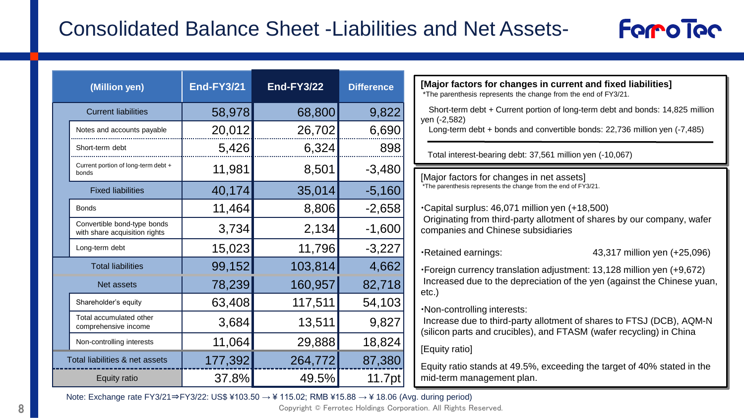#### Consolidated Balance Sheet -Liabilities and Net Assets-

| (Million yen)                                                | <b>End-FY3/21</b> | <b>End-FY3/22</b> | <b>Difference</b> | [Major factors for changes in current and fixed liabilities]<br>*The parenthesis represents the change from the end of FY3/21.              |
|--------------------------------------------------------------|-------------------|-------------------|-------------------|---------------------------------------------------------------------------------------------------------------------------------------------|
| <b>Current liabilities</b>                                   | 58,978            | 68,800            | 9,822             | Short-term debt + Current portion of long-term debt and bonds: 14,825 million<br>yen (-2,582)                                               |
| Notes and accounts payable                                   | 20,012            | 26,702            | 6,690             | Long-term debt + bonds and convertible bonds: $22,736$ million yen $(-7,485)$                                                               |
| Short-term debt                                              | 5,426             | 6,324             | 898               | Total interest-bearing debt: 37,561 million yen (-10,067)                                                                                   |
| Current portion of long-term debt +<br>bonds                 | 11,981            | 8,501             | $-3,480$          | [Major factors for changes in net assets]                                                                                                   |
| <b>Fixed liabilities</b>                                     | 40,174            | 35,014            | $-5,160$          | *The parenthesis represents the change from the end of FY3/21.                                                                              |
| <b>Bonds</b>                                                 | 11,464            |                   | $-2,658$          | .Capital surplus: 46,071 million yen (+18,500)                                                                                              |
| Convertible bond-type bonds<br>with share acquisition rights | 3,734             | 2,134             | $-1,600$          | Originating from third-party allotment of shares by our company, wafer<br>companies and Chinese subsidiaries                                |
| Long-term debt                                               | 15,023            | 11,796            | $-3,227$          | ·Retained earnings:<br>43,317 million yen (+25,096)                                                                                         |
| <b>Total liabilities</b>                                     | 99,152            | 103,814           | 4,662             | •Foreign currency translation adjustment: 13,128 million yen (+9,672)                                                                       |
| Net assets                                                   | 78,239            | 160,957           | 82,718            | Increased due to the depreciation of the yen (against the Chinese yuan,<br>etc.)                                                            |
| Shareholder's equity                                         | 63,408            | 117,511           | 54,103            | ·Non-controlling interests:                                                                                                                 |
| Total accumulated other<br>comprehensive income              | 3,684             | 13,511            | 9,827             | Increase due to third-party allotment of shares to FTSJ (DCB), AQM-N<br>(silicon parts and crucibles), and FTASM (wafer recycling) in China |
| Non-controlling interests                                    | 11,064            | 29,888            | 18,824            | [Equity ratio]                                                                                                                              |
| Total liabilities & net assets                               | 177,392           | 264,772           | 87,380            | Equity ratio stands at 49.5%, exceeding the target of 40% stated in the                                                                     |
| Equity ratio                                                 | 37.8%             | 49.5%             | 11.7pt            | mid-term management plan.                                                                                                                   |

**Forro Toc** 

Note: Exchange rate FY3/21⇒FY3/22: US\$ ¥103.50 → ¥ 115.02; RMB ¥15.88 → ¥ 18.06 (Avg. during period)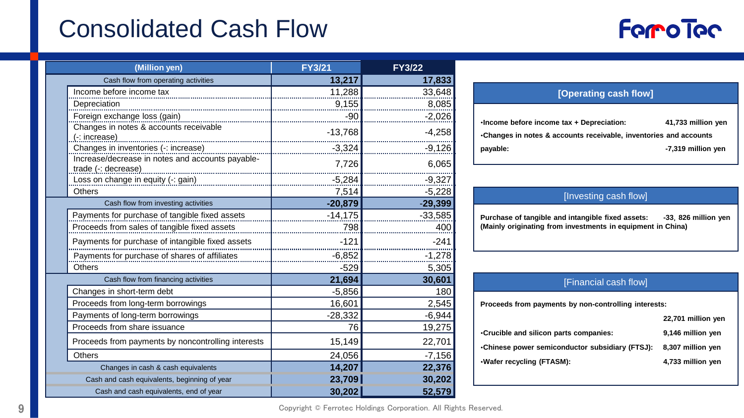# Consolidated Cash Flow



| (Million yen)                                                           | <b>FY3/21</b> | <b>FY3/22</b> |
|-------------------------------------------------------------------------|---------------|---------------|
| Cash flow from operating activities                                     | 13,217        | 17,833        |
| Income before income tax                                                | 11,288        | 33,648        |
| Depreciation                                                            | 9,155         | 8,085         |
| Foreign exchange loss (gain)                                            | $-90$         | $-2,026$      |
| Changes in notes & accounts receivable<br>$(-: increase)$               | $-13,768$     | $-4,258$      |
| Changes in inventories (-: increase)                                    | $-3,324$      | $-9,126$      |
| Increase/decrease in notes and accounts payable-<br>trade (-: decrease) | 7,726         | 6,065         |
| Loss on change in equity (-: gain)                                      | $-5,284$      | $-9,327$      |
| Others                                                                  | 7,514         | $-5,228$      |
| Cash flow from investing activities                                     | $-20,879$     | $-29,399$     |
| Payments for purchase of tangible fixed assets                          | $-14,175$     | $-33,585$     |
| Proceeds from sales of tangible fixed assets                            | 798           | 400           |
| Payments for purchase of intangible fixed assets                        | $-121$        | $-241$        |
| Payments for purchase of shares of affiliates                           | $-6,852$      | $-1,278$      |
| <b>Others</b>                                                           | $-529$        | 5,305         |
| Cash flow from financing activities                                     | 21,694        | 30,601        |
| Changes in short-term debt                                              | $-5,856$      | 180           |
| Proceeds from long-term borrowings                                      | 16,601        | 2,545         |
| Payments of long-term borrowings                                        | $-28,332$     | $-6,944$      |
| Proceeds from share issuance                                            | 76            | 19,275        |
| Proceeds from payments by noncontrolling interests                      | 15,149        | 22,701        |
| <b>Others</b>                                                           | 24,056        | $-7,156$      |
| Changes in cash & cash equivalents                                      | 14,207        | 22,376        |
| Cash and cash equivalents, beginning of year                            | 23,709        | 30,202        |
| Cash and cash equivalents, end of year                                  | 30,202        | 52,579        |

| [Operating cash flow]                                                                                          |                    |
|----------------------------------------------------------------------------------------------------------------|--------------------|
| .Income before income tax + Depreciation:<br>•Changes in notes & accounts receivable, inventories and accounts | 41,733 million yen |
| payable:                                                                                                       | -7,319 million yen |

| [Investing cash flow] |
|-----------------------|
|                       |
|                       |

**Purchase of tangible and intangible fixed assets: -33**,**826 million yen (Mainly originating from investments in equipment in China)**

| [Financial cash flow]                                |                    |  |  |  |  |
|------------------------------------------------------|--------------------|--|--|--|--|
| Proceeds from payments by non-controlling interests: |                    |  |  |  |  |
|                                                      | 22,701 million yen |  |  |  |  |
| Crucible and silicon parts companies:                | 9,146 million yen  |  |  |  |  |
| •Chinese power semiconductor subsidiary (FTSJ):      | 8,307 million yen  |  |  |  |  |
| ·Wafer recycling (FTASM):                            | 4,733 million yen  |  |  |  |  |
|                                                      |                    |  |  |  |  |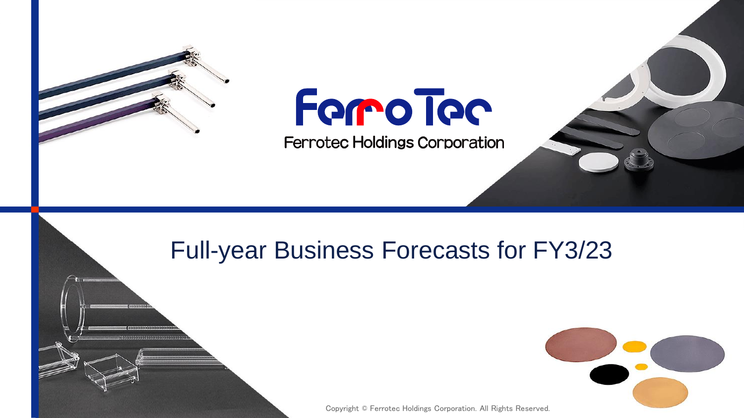

# Forro Toc

**Ferrotec Holdings Corporation** 

#### Full-year Business Forecasts for FY3/23

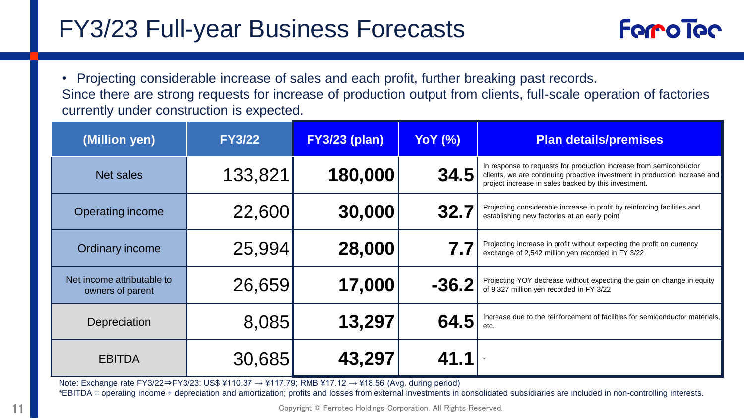## FY3/23 Full-year Business Forecasts



• Projecting considerable increase of sales and each profit, further breaking past records. Since there are strong requests for increase of production output from clients, full-scale operation of factories currently under construction is expected.

| (Million yen)                                  | <b>FY3/22</b> | <b>FY3/23 (plan)</b> | <b>YoY</b> (%) | <b>Plan details/premises</b>                                                                                                                                                                             |
|------------------------------------------------|---------------|----------------------|----------------|----------------------------------------------------------------------------------------------------------------------------------------------------------------------------------------------------------|
| Net sales                                      | 133,821       | 180,000              | 34.5           | In response to requests for production increase from semiconductor<br>clients, we are continuing proactive investment in production increase and<br>project increase in sales backed by this investment. |
| Operating income                               | 22,600        | 30,000               | 32.7           | Projecting considerable increase in profit by reinforcing facilities and<br>establishing new factories at an early point                                                                                 |
| Ordinary income                                | 25,994        | 28,000               |                | Projecting increase in profit without expecting the profit on currency<br>exchange of 2,542 million yen recorded in FY 3/22                                                                              |
| Net income attributable to<br>owners of parent | 26,659        | 17,000               | $-36.2$        | Projecting YOY decrease without expecting the gain on change in equity<br>of 9,327 million yen recorded in FY 3/22                                                                                       |
| Depreciation                                   | 8,085         | 13,297               | 64.5           | Increase due to the reinforcement of facilities for semiconductor materials,<br>etc.                                                                                                                     |
| <b>EBITDA</b>                                  | 30,685        | 43,297               | 41.1           |                                                                                                                                                                                                          |

Note: Exchange rate FY3/22⇒FY3/23: US\$ ¥110.37 → ¥117.79; RMB ¥17.12 → ¥18.56 (Avg. during period)

\*EBITDA = operating income + depreciation and amortization; profits and losses from external investments in consolidated subsidiaries are included in non-controlling interests.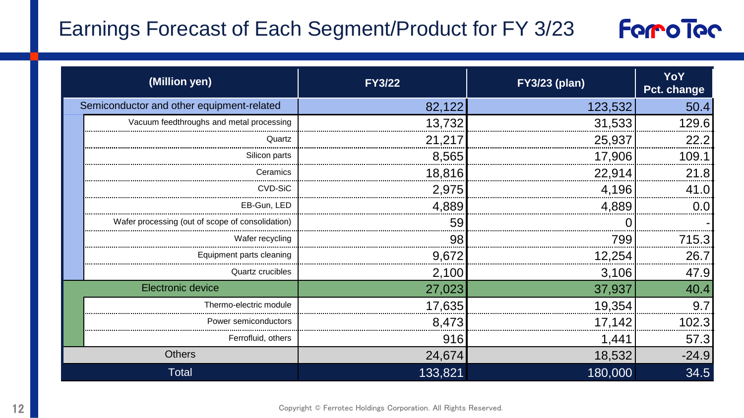#### Earnings Forecast of Each Segment/Product for FY 3/23



|                                           | (Million yen)                                    | <b>FY3/22</b> | <b>FY3/23 (plan)</b> | YoY<br>Pct. change |
|-------------------------------------------|--------------------------------------------------|---------------|----------------------|--------------------|
| Semiconductor and other equipment-related |                                                  | 82,122        | 123,532              | 50.4               |
|                                           | Vacuum feedthroughs and metal processing         | 13,732        | 31,533               | 129.6              |
|                                           | Quartz                                           | 21,217        | 25,937               | 22.2               |
|                                           | Silicon parts                                    | 8,565         | 17,906               | 109.1              |
|                                           | Ceramics                                         | 18,816        | 22,914               | 21.8               |
|                                           | CVD-SiC                                          | 2,975         | 4,196                | 41.0               |
|                                           | EB-Gun. LED                                      | 4,889         | 4,889                | 0.0                |
|                                           | Wafer processing (out of scope of consolidation) | 59            |                      |                    |
|                                           | Wafer recycling                                  | 98            | 799                  | 715.3              |
|                                           | Equipment parts cleaning                         | 9,672         | 12,254               | 26.7               |
|                                           | Quartz crucibles                                 | 2,100         | 3,106                | 47.9               |
|                                           | Electronic device                                | 27,023        | 37,937               | 40.4               |
|                                           | Thermo-electric module                           | 17,635        | 19,354               | 9.7                |
|                                           | Power semiconductors                             | 8,473         | 17,142               | 102.3              |
|                                           | Ferrofluid, others                               | 916           | 1,441                | 57.3               |
|                                           | <b>Others</b>                                    | 24,674        | 18,532               | $-24.9$            |
|                                           | Total                                            | 133,821       | 180,000              | 34.5               |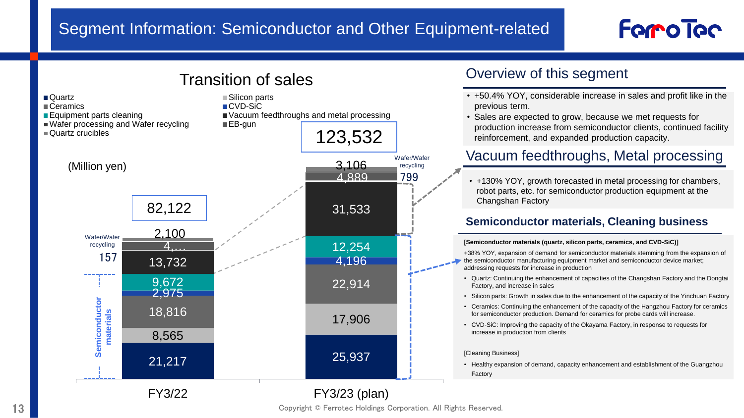#### Segment Information: Semiconductor and Other Equipment-related

# **Forro Toc**

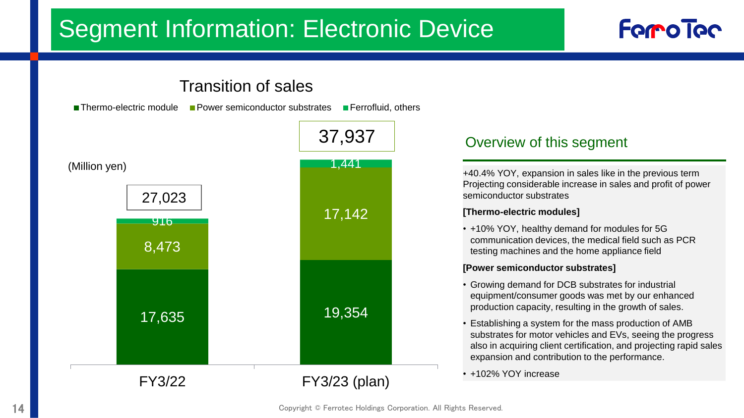# Segment Information: Electronic Device



**Forro Toc**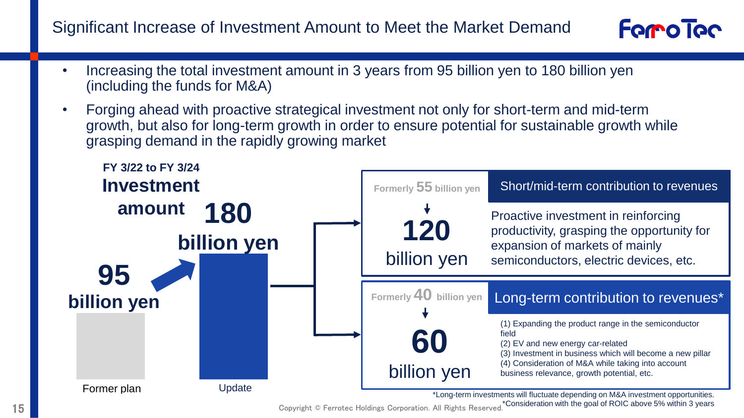Significant Increase of Investment Amount to Meet the Market Demand



- Increasing the total investment amount in 3 years from 95 billion yen to 180 billion yen (including the funds for M&A)
- Forging ahead with proactive strategical investment not only for short-term and mid-term growth, but also for long-term growth in order to ensure potential for sustainable growth while grasping demand in the rapidly growing market

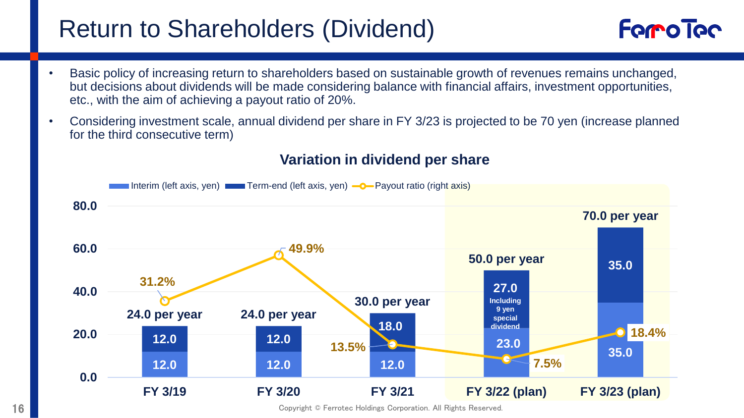### Return to Shareholders (Dividend)

- Basic policy of increasing return to shareholders based on sustainable growth of revenues remains unchanged, but decisions about dividends will be made considering balance with financial affairs, investment opportunities, etc., with the aim of achieving a payout ratio of 20%.
- Considering investment scale, annual dividend per share in FY 3/23 is projected to be 70 yen (increase planned for the third consecutive term)



#### **Variation in dividend per share**

**Forro Toc**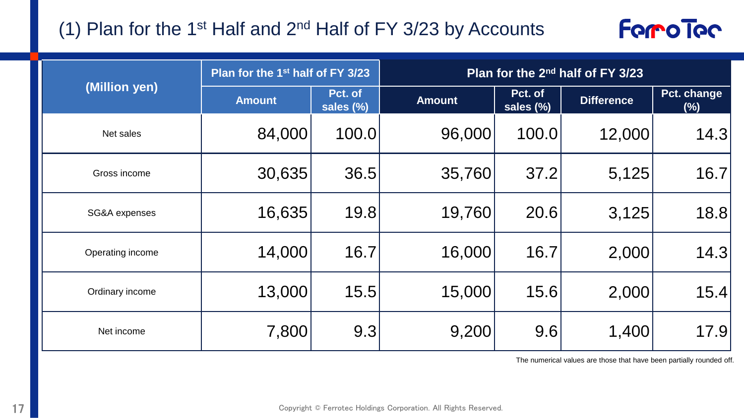#### (1) Plan for the 1<sup>st</sup> Half and  $2^{nd}$  Half of FY 3/23 by Accounts



|                  | Plan for the 1 <sup>st</sup> half of FY 3/23 |                      | Plan for the 2 <sup>nd</sup> half of FY 3/23 |                      |                   |                       |  |
|------------------|----------------------------------------------|----------------------|----------------------------------------------|----------------------|-------------------|-----------------------|--|
| (Million yen)    | <b>Amount</b>                                | Pct. of<br>sales (%) | <b>Amount</b>                                | Pct. of<br>sales (%) | <b>Difference</b> | Pct. change<br>$(\%)$ |  |
| Net sales        | 84,000                                       | 100.0                | 96,000                                       | 100.0                | 12,000            | 14.3                  |  |
| Gross income     | 30,635                                       | 36.5                 | 35,760                                       | 37.2                 | 5,125             | 16.7                  |  |
| SG&A expenses    | 16,635                                       | 19.8                 | 19,760                                       | 20.6                 | 3,125             | 18.8                  |  |
| Operating income | 14,000                                       | 16.7                 | 16,000                                       | 16.7                 | 2,000             | 14.3                  |  |
| Ordinary income  | 13,000                                       | 15.5                 | 15,000                                       | 15.6                 | 2,000             | 15.4                  |  |
| Net income       | 7,800                                        | 9.3                  | 9,200                                        | 9.6                  | 1,400             | 17.9                  |  |

The numerical values are those that have been partially rounded off.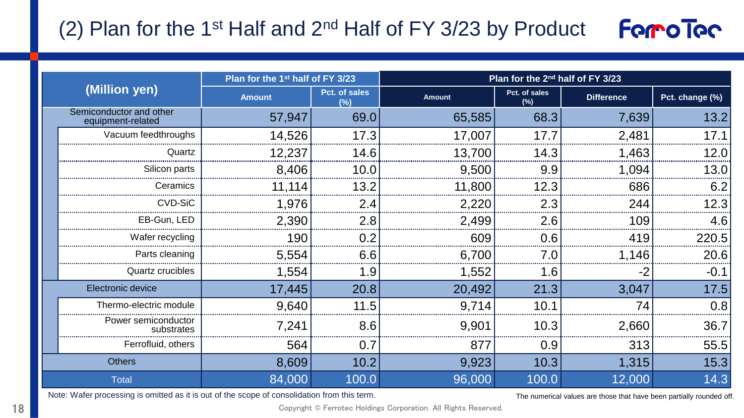#### (2) Plan for the 1<sup>st</sup> Half and  $2^{nd}$  Half of FY 3/23 by Product **Forro Toc**

| (Million yen)                                |                                   | Plan for the 1 <sup>st</sup> half of FY 3/23 |                      | Plan for the 2 <sup>nd</sup> half of FY 3/23 |                      |                   |                 |
|----------------------------------------------|-----------------------------------|----------------------------------------------|----------------------|----------------------------------------------|----------------------|-------------------|-----------------|
|                                              |                                   | <b>Amount</b>                                | Pct. of sales<br>(%) | <b>Amount</b>                                | Pct. of sales<br>(%) | <b>Difference</b> | Pct. change (%) |
| Semiconductor and other<br>equipment-related |                                   | 57,947                                       | 69.0                 | 65,585                                       | 68.3                 | 7,639             | 13.2            |
|                                              | Vacuum feedthroughs               | 14,526                                       | 17.3                 | 17,007                                       | 17.7                 | 2,481             | 17.1            |
|                                              | Quartz                            | 12,237                                       | 14.6                 | 13,700                                       | 14.3                 | 1,463             | 12.0            |
|                                              | Silicon parts                     | 8,406                                        | 10.0                 | 9,500                                        | 9.9                  | 1,094             | 13.0            |
|                                              | Ceramics                          | 11,114                                       | 13.2                 | 11,800                                       | 12.3                 | 686               | 6.2             |
|                                              | CVD-SiC                           | 1,976                                        | 2.4                  | 2,220                                        | 2.3                  | 244               | 12.3            |
|                                              | EB-Gun, LED                       | 2,390                                        | 2.8                  | 2,499                                        | 2.6                  | 109               | 4.6             |
|                                              | Wafer recycling                   | 190                                          | 0.2                  | 609                                          | 0.6                  | 419               | 220.5           |
|                                              | Parts cleaning                    | 5,554                                        | 6.6                  | 6,700                                        | 7.0                  | 1,146             | 20.6            |
|                                              | <b>Quartz crucibles</b>           | 1,554                                        | 1.9                  | 1,552                                        | 1.6                  | -2                | $-0.1$          |
| Electronic device                            |                                   | 17,445                                       | 20.8                 | 20,492                                       | 21.3                 | 3,047             | 17.5            |
|                                              | Thermo-electric module            | 9,640                                        | 11.5                 | 9,714                                        | 10.1                 | 74                | 0.8             |
|                                              | Power semiconductor<br>substrates | 7,241                                        | 8.6                  | 9,901                                        | 10.3                 | 2,660             | 36.7            |
|                                              | Ferrofluid, others                | 564                                          | 0.7                  | 877                                          | 0.9                  | 313               | 55.5            |
| <b>Others</b>                                |                                   | 8,609                                        | 10.2                 | 9,923                                        | 10.3                 | 1,315             | 15.3            |
| <b>Total</b>                                 |                                   | 84,000                                       | 100.0                | 96,000                                       | 100.0                | 12,000            | 14.3            |

Note: Wafer processing is omitted as it is out of the scope of consolidation from this term.

The numerical values are those that have been partially rounded off.